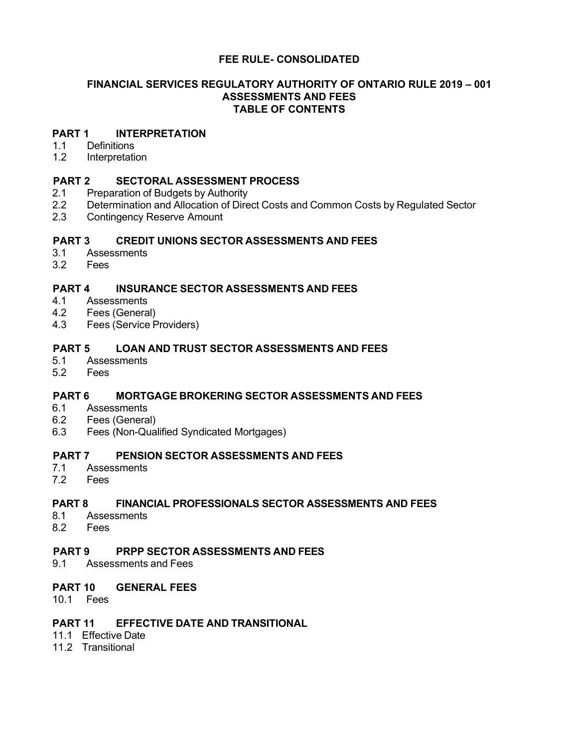# **FEE RULE- CONSOLIDATED**

## **FINANCIAL SERVICES REGULATORY AUTHORITY OF ONTARIO RULE 2019 – 001 ASSESSMENTS AND FEES TABLE OF CONTENTS**

#### **PART 1 [INTERPRETATION](#page-1-0)**

- 1.1 [Definitions](#page-1-1)<br>1.2 Interpretation
- **[Interpretation](#page-2-0)**

#### **PART 2 SECTORAL [ASSESSMENT](#page-3-0) PROCESS**

- 2.1 [Preparation](#page-3-1) of Budgets by Authority
- 2.2 [Determination](#page-3-2) and Allocation of Direct Costs and Common Costs by Regulated Sector
- 2.3 [Contingency Reserve](#page-4-0) Amount

# **PART 3 CREDIT UNIONS SECTOR [ASSESSMENTS](#page-4-1) AND FEES**

- 3.1 [Assessments](#page-4-2)<br>3.2 Fees
- 3.2 [Fees](#page-5-0)

# **PART 4 INSURANCE SECTOR [ASSESSMENTS](#page-6-0) AND FEES**

- 4.1 [Assessments](#page-6-1)<br>4.2 Fees (Genera
- 4.2 Fees [\(General\)](#page-11-0)<br>4.3 Fees (Service P
- Fees (Service [Providers\)](#page-11-1)

## **PART 5 LOAN AND TRUST SECTOR [ASSESSMENTS](#page-13-0) AND FEES**

- 5.1 [Assessments](#page-13-1)
- 5.2 [Fees](#page-13-2)

# **PART 6 MORTGAGE BROKERING SECTOR [ASSESSMENTS](#page-14-0) AND FEES**

- **[Assessments](#page-14-1)**
- 6.2 Fees [\(General\)](#page-14-2)
- 6.3 Fees [\(Non-Qualified](#page-16-0) Syndicated Mortgages)

# **PART 7 PENSION SECTOR [ASSESSMENTS](#page-17-0) AND FEES**

- **[Assessments](#page-17-1)**
- 7.2 [Fees](#page-20-0)

# **PART 8 FINANCIAL PROFESSIONALS SECTOR ASSESSMENTS AND FEES**

- **[Assessments](#page-17-1)**
- 8.2 Fees

## **PART 9 PRPP SECTOR [ASSESSMENTS](#page-22-0) AND FEES**

9.1 [Assessments](#page-22-1) and Fees

#### **PART 10 [GENERAL FEES](#page-22-2)**

10.1 [Fees](#page-22-3)

# **PART 11 EFFECTIVE DATE AND [TRANSITIONAL](#page-22-4)**

- 11.1 [Effective](#page-22-5) Date
- 11.2 [Transitional](#page-22-6)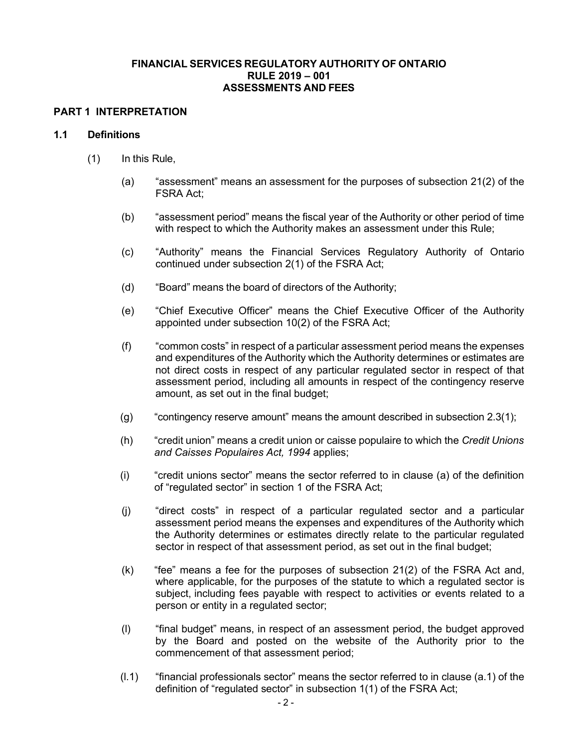## **FINANCIAL SERVICES REGULATORY AUTHORITY OF ONTARIO RULE 2019 – 001 ASSESSMENTS AND FEES**

#### <span id="page-1-0"></span>**PART 1 INTERPRETATION**

#### <span id="page-1-1"></span>**1.1 Definitions**

- (1) In this Rule,
	- (a) "assessment" means an assessment for the purposes of subsection 21(2) of the FSRA Act;
	- (b) "assessment period" means the fiscal year of the Authority or other period of time with respect to which the Authority makes an assessment under this Rule;
	- (c) "Authority" means the Financial Services Regulatory Authority of Ontario continued under subsection 2(1) of the FSRA Act;
	- (d) "Board" means the board of directors of the Authority;
	- (e) "Chief Executive Officer" means the Chief Executive Officer of the Authority appointed under subsection 10(2) of the FSRA Act;
	- (f) "common costs" in respect of a particular assessment period means the expenses and expenditures of the Authority which the Authority determines or estimates are not direct costs in respect of any particular regulated sector in respect of that assessment period, including all amounts in respect of the contingency reserve amount, as set out in the final budget;
	- (g) "contingency reserve amount" means the amount described in subsection [2.3\(1\);](#page-4-3)
	- (h) "credit union" means a credit union or caisse populaire to which the *Credit Unions and Caisses Populaires Act, 1994* applies;
	- (i) "credit unions sector" means the sector referred to in clause (a) of the definition of "regulated sector" in section 1 of the FSRA Act;
	- (j) "direct costs" in respect of a particular regulated sector and a particular assessment period means the expenses and expenditures of the Authority which the Authority determines or estimates directly relate to the particular regulated sector in respect of that assessment period, as set out in the final budget;
	- (k) "fee" means a fee for the purposes of subsection 21(2) of the FSRA Act and, where applicable, for the purposes of the statute to which a regulated sector is subject, including fees payable with respect to activities or events related to a person or entity in a regulated sector;
	- (l) "final budget" means, in respect of an assessment period, the budget approved by the Board and posted on the website of the Authority prior to the commencement of that assessment period;
	- (l.1) "financial professionals sector" means the sector referred to in clause (a.1) of the definition of "regulated sector" in subsection 1(1) of the FSRA Act;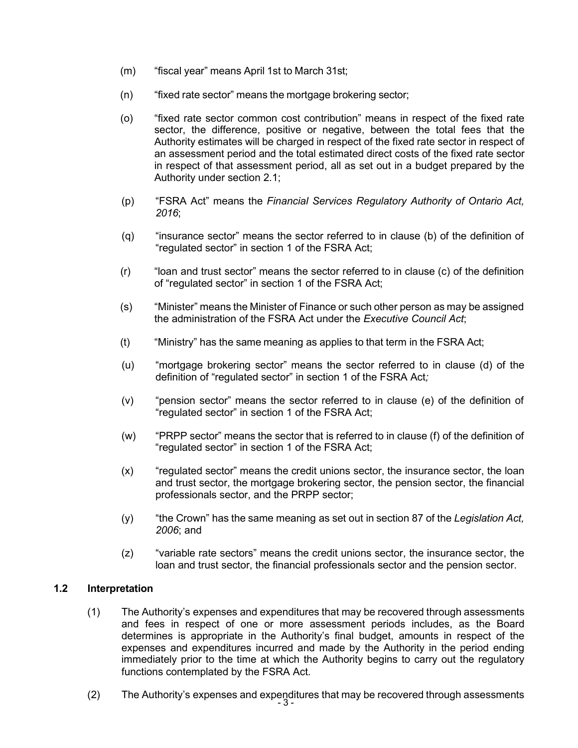- (m) "fiscal year" means April 1st to March 31st;
- (n) "fixed rate sector" means the mortgage brokering sector;
- (o) "fixed rate sector common cost contribution" means in respect of the fixed rate sector, the difference, positive or negative, between the total fees that the Authority estimates will be charged in respect of the fixed rate sector in respect of an assessment period and the total estimated direct costs of the fixed rate sector in respect of that assessment period, all as set out in a budget prepared by the Authority under section 2.1;
- (p) "FSRA Act" means the *Financial Services Regulatory Authority of Ontario Act, 2016*;
- (q) "insurance sector" means the sector referred to in clause (b) of the definition of "regulated sector" in section 1 of the FSRA Act;
- (r) "loan and trust sector" means the sector referred to in clause (c) of the definition of "regulated sector" in section 1 of the FSRA Act;
- (s) "Minister" means the Minister of Finance or such other person as may be assigned the administration of the FSRA Act under the *Executive Council Act*;
- (t) "Ministry" has the same meaning as applies to that term in the FSRA Act;
- (u) "mortgage brokering sector" means the sector referred to in clause (d) of the definition of "regulated sector" in section 1 of the FSRA Act*;*
- (v) "pension sector" means the sector referred to in clause (e) of the definition of "regulated sector" in section 1 of the FSRA Act;
- (w) "PRPP sector" means the sector that is referred to in clause (f) of the definition of "regulated sector" in section 1 of the FSRA Act;
- (x) "regulated sector" means the credit unions sector, the insurance sector, the loan and trust sector, the mortgage brokering sector, the pension sector, the financial professionals sector, and the PRPP sector;
- (y) "the Crown" has the same meaning as set out in section 87 of the *Legislation Act, 2006*; and
- (z) "variable rate sectors" means the credit unions sector, the insurance sector, the loan and trust sector, the financial professionals sector and the pension sector.

# <span id="page-2-0"></span>**1.2 Interpretation**

- (1) The Authority's expenses and expenditures that may be recovered through assessments and fees in respect of one or more assessment periods includes, as the Board determines is appropriate in the Authority's final budget, amounts in respect of the expenses and expenditures incurred and made by the Authority in the period ending immediately prior to the time at which the Authority begins to carry out the regulatory functions contemplated by the FSRA Act.
- (2) The Authority's expenses and expenditures that may be recovered through assessments<br>- 3 -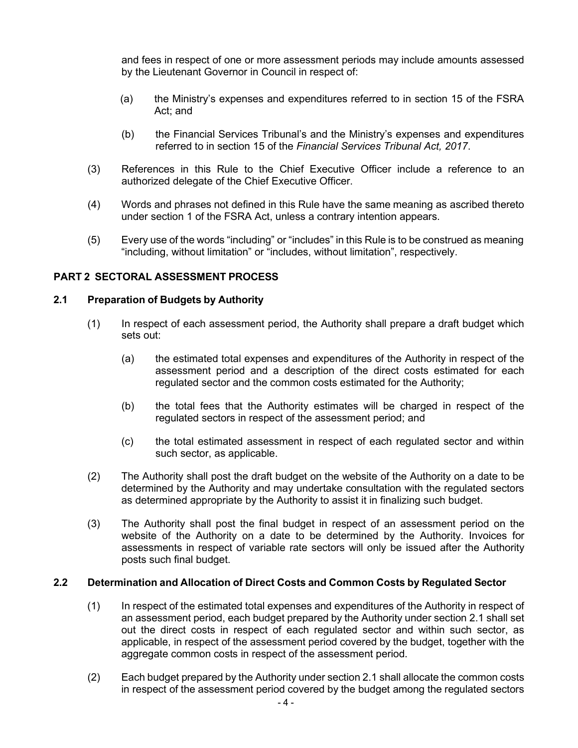and fees in respect of one or more assessment periods may include amounts assessed by the Lieutenant Governor in Council in respect of:

- (a) the Ministry's expenses and expenditures referred to in section 15 of the FSRA Act; and
- (b) the Financial Services Tribunal's and the Ministry's expenses and expenditures referred to in section 15 of the *Financial Services Tribunal Act, 2017*.
- (3) References in this Rule to the Chief Executive Officer include a reference to an authorized delegate of the Chief Executive Officer.
- (4) Words and phrases not defined in this Rule have the same meaning as ascribed thereto under section 1 of the FSRA Act, unless a contrary intention appears.
- <span id="page-3-0"></span>(5) Every use of the words "including" or "includes" in this Rule is to be construed as meaning "including, without limitation" or "includes, without limitation", respectively.

# <span id="page-3-3"></span>**PART 2 SECTORAL ASSESSMENT PROCESS**

#### <span id="page-3-1"></span>**2.1 Preparation of Budgets by Authority**

- (1) In respect of each assessment period, the Authority shall prepare a draft budget which sets out:
	- (a) the estimated total expenses and expenditures of the Authority in respect of the assessment period and a description of the direct costs estimated for each regulated sector and the common costs estimated for the Authority;
	- (b) the total fees that the Authority estimates will be charged in respect of the regulated sectors in respect of the assessment period; and
	- (c) the total estimated assessment in respect of each regulated sector and within such sector, as applicable.
- (2) The Authority shall post the draft budget on the website of the Authority on a date to be determined by the Authority and may undertake consultation with the regulated sectors as determined appropriate by the Authority to assist it in finalizing such budget.
- (3) The Authority shall post the final budget in respect of an assessment period on the website of the Authority on a date to be determined by the Authority. Invoices for assessments in respect of variable rate sectors will only be issued after the Authority posts such final budget.

#### <span id="page-3-2"></span>**2.2 Determination and Allocation of Direct Costs and Common Costs by Regulated Sector**

- (1) In respect of the estimated total expenses and expenditures of the Authority in respect of an assessment period, each budget prepared by the Authority under section [2.1](#page-3-1) shall set out the direct costs in respect of each regulated sector and within such sector, as applicable, in respect of the assessment period covered by the budget, together with the aggregate common costs in respect of the assessment period.
- (2) Each budget prepared by the Authority under section [2.1](#page-3-1) shall allocate the common costs in respect of the assessment period covered by the budget among the regulated sectors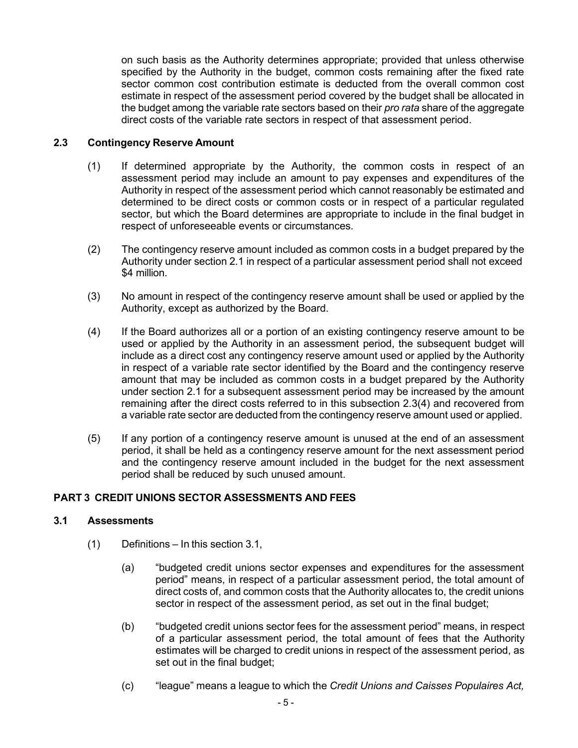on such basis as the Authority determines appropriate; provided that unless otherwise specified by the Authority in the budget, common costs remaining after the fixed rate sector common cost contribution estimate is deducted from the overall common cost estimate in respect of the assessment period covered by the budget shall be allocated in the budget among the variable rate sectors based on their *pro rata* share of the aggregate direct costs of the variable rate sectors in respect of that assessment period.

# <span id="page-4-3"></span><span id="page-4-0"></span>**2.3 Contingency Reserve Amount**

- (1) If determined appropriate by the Authority, the common costs in respect of an assessment period may include an amount to pay expenses and expenditures of the Authority in respect of the assessment period which cannot reasonably be estimated and determined to be direct costs or common costs or in respect of a particular regulated sector, but which the Board determines are appropriate to include in the final budget in respect of unforeseeable events or circumstances.
- (2) The contingency reserve amount included as common costs in a budget prepared by the Authority under section [2.1](#page-3-1) in respect of a particular assessment period shall not exceed \$4 million.
- (3) No amount in respect of the contingency reserve amount shall be used or applied by the Authority, except as authorized by the Board.
- (4) If the Board authorizes all or a portion of an existing contingency reserve amount to be used or applied by the Authority in an assessment period, the subsequent budget will include as a direct cost any contingency reserve amount used or applied by the Authority in respect of a variable rate sector identified by the Board and the contingency reserve amount that may be included as common costs in a budget prepared by the Authority under section [2.1](#page-3-1) for a subsequent assessment period may be increased by the amount remaining after the direct costs referred to in this subsection 2.3(4) and recovered from a variable rate sector are deducted from the contingency reserve amount used or applied.
- (5) If any portion of a contingency reserve amount is unused at the end of an assessment period, it shall be held as a contingency reserve amount for the next assessment period and the contingency reserve amount included in the budget for the next assessment period shall be reduced by such unused amount.

# <span id="page-4-1"></span>**PART 3 CREDIT UNIONS SECTOR ASSESSMENTS AND FEES**

# <span id="page-4-2"></span>**3.1 Assessments**

- (1) Definitions In this section [3.1,](#page-4-2)
	- (a) "budgeted credit unions sector expenses and expenditures for the assessment period" means, in respect of a particular assessment period, the total amount of direct costs of, and common costs that the Authority allocates to, the credit unions sector in respect of the assessment period, as set out in the final budget;
	- (b) "budgeted credit unions sector fees for the assessment period" means, in respect of a particular assessment period, the total amount of fees that the Authority estimates will be charged to credit unions in respect of the assessment period, as set out in the final budget;
	- (c) "league" means a league to which the *Credit Unions and Caisses Populaires Act,*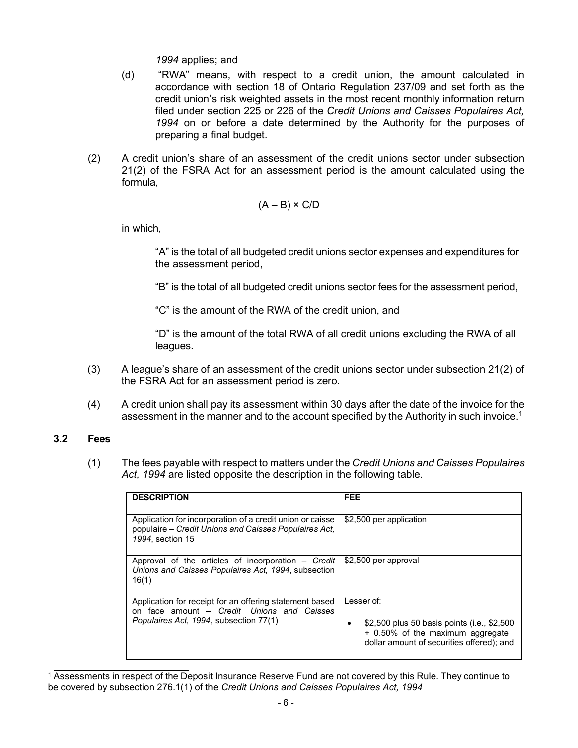*1994* applies; and

- (d) "RWA" means, with respect to a credit union, the amount calculated in accordance with section 18 of Ontario Regulation 237/09 and set forth as the credit union's risk weighted assets in the most recent monthly information return filed under section 225 or 226 of the *Credit Unions and Caisses Populaires Act, 1994* on or before a date determined by the Authority for the purposes of preparing a final budget.
- (2) A credit union's share of an assessment of the credit unions sector under subsection 21(2) of the FSRA Act for an assessment period is the amount calculated using the formula,

$$
(A - B) \times C/D
$$

in which,

"A" is the total of all budgeted credit unions sector expenses and expenditures for the assessment period,

"B" is the total of all budgeted credit unions sector fees for the assessment period,

"C" is the amount of the RWA of the credit union, and

"D" is the amount of the total RWA of all credit unions excluding the RWA of all leagues.

- (3) A league's share of an assessment of the credit unions sector under subsection 21(2) of the FSRA Act for an assessment period is zero.
- (4) A credit union shall pay its assessment within 30 days after the date of the invoice for the assessment in the manner and to the account specified by the Authority in such invoice.<sup>1</sup>

## <span id="page-5-1"></span><span id="page-5-0"></span>**3.2 Fees**

(1) The fees payable with respect to matters under the *Credit Unions and Caisses Populaires Act, 1994* are listed opposite the description in the following table.

| <b>DESCRIPTION</b>                                                                                                                              | <b>FEE</b>                                                                                                                                      |
|-------------------------------------------------------------------------------------------------------------------------------------------------|-------------------------------------------------------------------------------------------------------------------------------------------------|
| Application for incorporation of a credit union or caisse<br>populaire – Credit Unions and Caisses Populaires Act.<br>1994. section 15          | \$2,500 per application                                                                                                                         |
| Approval of the articles of incorporation $-$ Credit<br>Unions and Caisses Populaires Act, 1994, subsection<br>16(1)                            | \$2,500 per approval                                                                                                                            |
| Application for receipt for an offering statement based<br>on face amount - Credit Unions and Caisses<br>Populaires Act, 1994, subsection 77(1) | Lesser of:<br>\$2,500 plus 50 basis points (i.e., \$2,500<br>٠<br>+ 0.50% of the maximum aggregate<br>dollar amount of securities offered); and |

<sup>&</sup>lt;sup>1</sup> Assessments in respect of the Deposit Insurance Reserve Fund are not covered by this Rule. They continue to be covered by subsection 276.1(1) of the *Credit Unions and Caisses Populaires Act, 1994*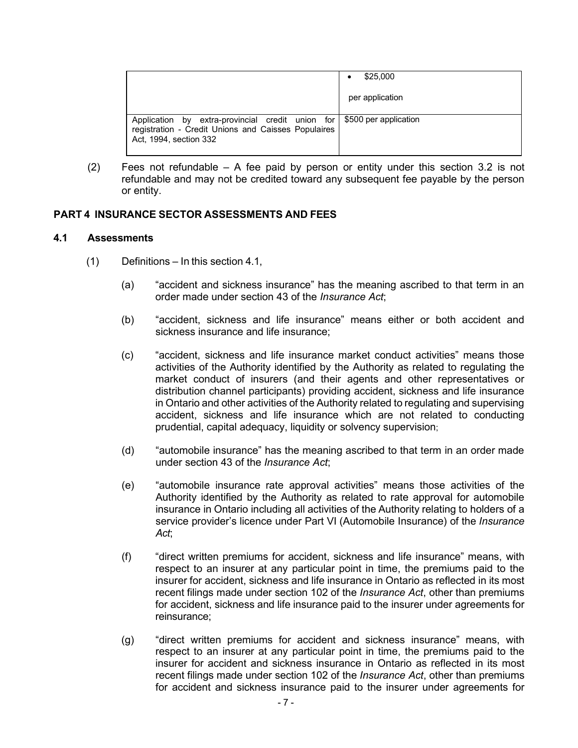|                                                                                                                                                           | \$25,000        |
|-----------------------------------------------------------------------------------------------------------------------------------------------------------|-----------------|
|                                                                                                                                                           | per application |
| Application by extra-provincial credit union for   \$500 per application<br>registration - Credit Unions and Caisses Populaires<br>Act, 1994, section 332 |                 |

(2) Fees not refundable – A fee paid by person or entity under this section [3.2](#page-5-0) is not refundable and may not be credited toward any subsequent fee payable by the person or entity.

## <span id="page-6-0"></span>**PART 4 INSURANCE SECTOR ASSESSMENTS AND FEES**

#### <span id="page-6-1"></span>**4.1 Assessments**

- (1) Definitions In this section [4.1,](#page-6-1)
	- (a) "accident and sickness insurance" has the meaning ascribed to that term in an order made under section 43 of the *Insurance Act*;
	- (b) "accident, sickness and life insurance" means either or both accident and sickness insurance and life insurance;
	- (c) "accident, sickness and life insurance market conduct activities" means those activities of the Authority identified by the Authority as related to regulating the market conduct of insurers (and their agents and other representatives or distribution channel participants) providing accident, sickness and life insurance in Ontario and other activities of the Authority related to regulating and supervising accident, sickness and life insurance which are not related to conducting prudential, capital adequacy, liquidity or solvency supervision;
	- (d) "automobile insurance" has the meaning ascribed to that term in an order made under section 43 of the *Insurance Act*;
	- (e) "automobile insurance rate approval activities" means those activities of the Authority identified by the Authority as related to rate approval for automobile insurance in Ontario including all activities of the Authority relating to holders of a service provider's licence under Part VI (Automobile Insurance) of the *Insurance Act*;
	- (f) "direct written premiums for accident, sickness and life insurance" means, with respect to an insurer at any particular point in time, the premiums paid to the insurer for accident, sickness and life insurance in Ontario as reflected in its most recent filings made under section 102 of the *Insurance Act*, other than premiums for accident, sickness and life insurance paid to the insurer under agreements for reinsurance;
	- (g) "direct written premiums for accident and sickness insurance" means, with respect to an insurer at any particular point in time, the premiums paid to the insurer for accident and sickness insurance in Ontario as reflected in its most recent filings made under section 102 of the *Insurance Act*, other than premiums for accident and sickness insurance paid to the insurer under agreements for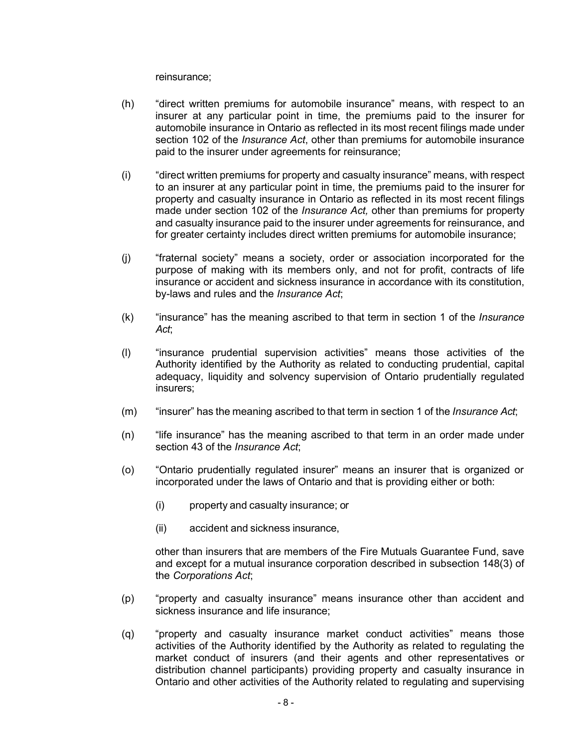reinsurance;

- (h) "direct written premiums for automobile insurance" means, with respect to an insurer at any particular point in time, the premiums paid to the insurer for automobile insurance in Ontario as reflected in its most recent filings made under section 102 of the *Insurance Act*, other than premiums for automobile insurance paid to the insurer under agreements for reinsurance;
- (i) "direct written premiums for property and casualty insurance" means, with respect to an insurer at any particular point in time, the premiums paid to the insurer for property and casualty insurance in Ontario as reflected in its most recent filings made under section 102 of the *Insurance Act,* other than premiums for property and casualty insurance paid to the insurer under agreements for reinsurance, and for greater certainty includes direct written premiums for automobile insurance;
- (j) "fraternal society" means a society, order or association incorporated for the purpose of making with its members only, and not for profit, contracts of life insurance or accident and sickness insurance in accordance with its constitution, by-laws and rules and the *Insurance Act*;
- (k) "insurance" has the meaning ascribed to that term in section 1 of the *Insurance Act*;
- (l) "insurance prudential supervision activities" means those activities of the Authority identified by the Authority as related to conducting prudential, capital adequacy, liquidity and solvency supervision of Ontario prudentially regulated insurers;
- (m) "insurer" has the meaning ascribed to that term in section 1 of the *Insurance Act*;
- (n) "life insurance" has the meaning ascribed to that term in an order made under section 43 of the *Insurance Act*;
- (o) "Ontario prudentially regulated insurer" means an insurer that is organized or incorporated under the laws of Ontario and that is providing either or both:
	- (i) property and casualty insurance; or
	- (ii) accident and sickness insurance,

other than insurers that are members of the Fire Mutuals Guarantee Fund, save and except for a mutual insurance corporation described in subsection 148(3) of the *Corporations Act*;

- (p) "property and casualty insurance" means insurance other than accident and sickness insurance and life insurance;
- (q) "property and casualty insurance market conduct activities" means those activities of the Authority identified by the Authority as related to regulating the market conduct of insurers (and their agents and other representatives or distribution channel participants) providing property and casualty insurance in Ontario and other activities of the Authority related to regulating and supervising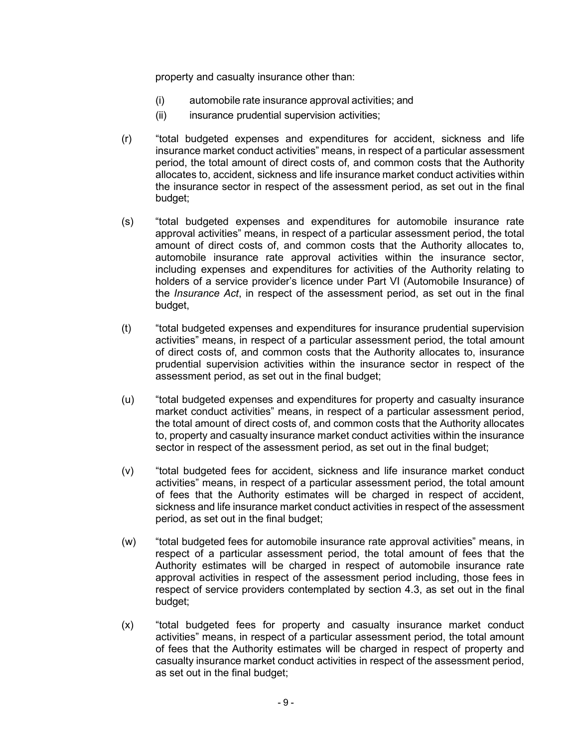property and casualty insurance other than:

- (i) automobile rate insurance approval activities; and
- (ii) insurance prudential supervision activities;
- (r) "total budgeted expenses and expenditures for accident, sickness and life insurance market conduct activities" means, in respect of a particular assessment period, the total amount of direct costs of, and common costs that the Authority allocates to, accident, sickness and life insurance market conduct activities within the insurance sector in respect of the assessment period, as set out in the final budget;
- (s) "total budgeted expenses and expenditures for automobile insurance rate approval activities" means, in respect of a particular assessment period, the total amount of direct costs of, and common costs that the Authority allocates to, automobile insurance rate approval activities within the insurance sector, including expenses and expenditures for activities of the Authority relating to holders of a service provider's licence under Part VI (Automobile Insurance) of the *Insurance Act*, in respect of the assessment period, as set out in the final budget,
- (t) "total budgeted expenses and expenditures for insurance prudential supervision activities" means, in respect of a particular assessment period, the total amount of direct costs of, and common costs that the Authority allocates to, insurance prudential supervision activities within the insurance sector in respect of the assessment period, as set out in the final budget;
- (u) "total budgeted expenses and expenditures for property and casualty insurance market conduct activities" means, in respect of a particular assessment period, the total amount of direct costs of, and common costs that the Authority allocates to, property and casualty insurance market conduct activities within the insurance sector in respect of the assessment period, as set out in the final budget;
- (v) "total budgeted fees for accident, sickness and life insurance market conduct activities" means, in respect of a particular assessment period, the total amount of fees that the Authority estimates will be charged in respect of accident, sickness and life insurance market conduct activities in respect of the assessment period, as set out in the final budget;
- (w) "total budgeted fees for automobile insurance rate approval activities" means, in respect of a particular assessment period, the total amount of fees that the Authority estimates will be charged in respect of automobile insurance rate approval activities in respect of the assessment period including, those fees in respect of service providers contemplated by section [4.3,](#page-11-1) as set out in the final budget;
- (x) "total budgeted fees for property and casualty insurance market conduct activities" means, in respect of a particular assessment period, the total amount of fees that the Authority estimates will be charged in respect of property and casualty insurance market conduct activities in respect of the assessment period, as set out in the final budget;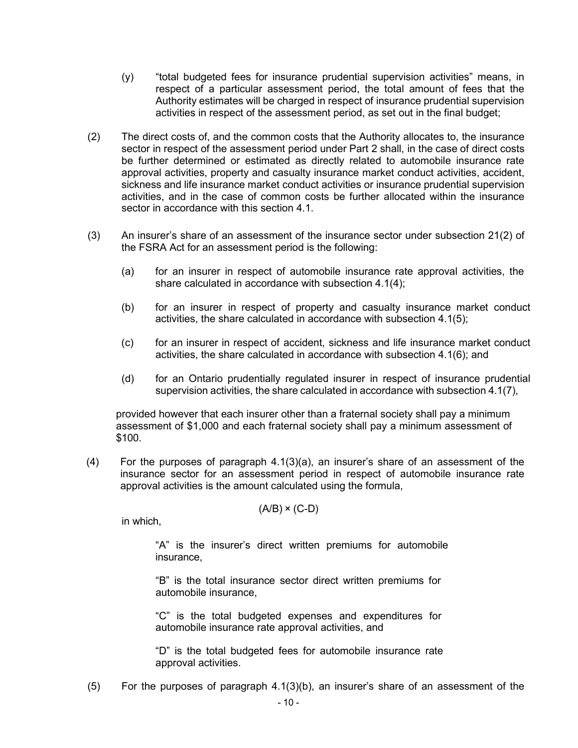- (y) "total budgeted fees for insurance prudential supervision activities" means, in respect of a particular assessment period, the total amount of fees that the Authority estimates will be charged in respect of insurance prudential supervision activities in respect of the assessment period, as set out in the final budget;
- (2) The direct costs of, and the common costs that the Authority allocates to, the insurance sector in respect of the assessment period under [Part 2](#page-3-3) shall, in the case of direct costs be further determined or estimated as directly related to automobile insurance rate approval activities, property and casualty insurance market conduct activities, accident, sickness and life insurance market conduct activities or insurance prudential supervision activities, and in the case of common costs be further allocated within the insurance sector in accordance with this section [4.1.](#page-6-1)
- <span id="page-9-1"></span>(3) An insurer's share of an assessment of the insurance sector under subsection 21(2) of the FSRA Act for an assessment period is the following:
	- (a) for an insurer in respect of automobile insurance rate approval activities, the share calculated in accordance with subsection 4.1(4);
	- (b) for an insurer in respect of property and casualty insurance market conduct activities, the share calculated in accordance with subsection [4.1\(5\);](#page-9-0)
	- (c) for an insurer in respect of accident, sickness and life insurance market conduct activities, the share calculated in accordance with subsection [4.1\(6\);](#page-10-0) and
	- (d) for an Ontario prudentially regulated insurer in respect of insurance prudential supervision activities, the share calculated in accordance with subsection [4.1\(7\),](#page-10-1)

<span id="page-9-3"></span><span id="page-9-2"></span>provided however that each insurer other than a fraternal society shall pay a minimum assessment of \$1,000 and each fraternal society shall pay a minimum assessment of \$100.

(4) For the purposes of paragraph 4.1(3)(a), an insurer's share of an assessment of the insurance sector for an assessment period in respect of automobile insurance rate approval activities is the amount calculated using the formula,

 $(A/B) \times (C-D)$ 

in which,

"A" is the insurer's direct written premiums for automobile insurance,

"B" is the total insurance sector direct written premiums for automobile insurance,

"C" is the total budgeted expenses and expenditures for automobile insurance rate approval activities, and

"D" is the total budgeted fees for automobile insurance rate approval activities.

<span id="page-9-0"></span>(5) For the purposes of paragraph [4.1\(3\)\(b\),](#page-9-1) an insurer's share of an assessment of the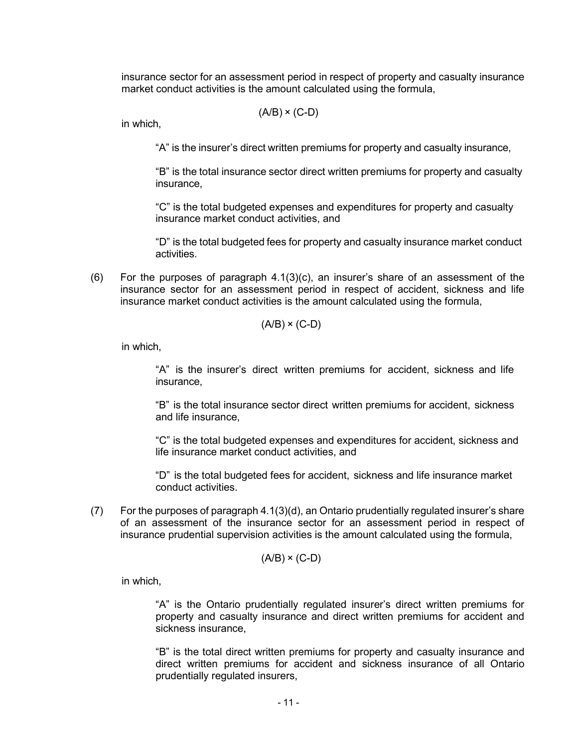insurance sector for an assessment period in respect of property and casualty insurance market conduct activities is the amount calculated using the formula,

$$
(A/B) \times (C-D)
$$

in which,

"A" is the insurer's direct written premiums for property and casualty insurance,

"B" is the total insurance sector direct written premiums for property and casualty insurance,

"C" is the total budgeted expenses and expenditures for property and casualty insurance market conduct activities, and

"D" is the total budgeted fees for property and casualty insurance market conduct activities.

<span id="page-10-0"></span>(6) For the purposes of paragraph [4.1\(3\)\(c\),](#page-9-2) an insurer's share of an assessment of the insurance sector for an assessment period in respect of accident, sickness and life insurance market conduct activities is the amount calculated using the formula,

$$
(A/B) \times (C-D)
$$

in which,

"A" is the insurer's direct written premiums for accident, sickness and life insurance,

"B" is the total insurance sector direct written premiums for accident, sickness and life insurance,

"C" is the total budgeted expenses and expenditures for accident, sickness and life insurance market conduct activities, and

"D" is the total budgeted fees for accident, sickness and life insurance market conduct activities.

<span id="page-10-1"></span>(7) For the purposes of paragraph [4.1\(3\)\(d\),](#page-9-3) an Ontario prudentially regulated insurer's share of an assessment of the insurance sector for an assessment period in respect of insurance prudential supervision activities is the amount calculated using the formula,

$$
(A/B) \times (C-D)
$$

in which,

"A" is the Ontario prudentially regulated insurer's direct written premiums for property and casualty insurance and direct written premiums for accident and sickness insurance,

"B" is the total direct written premiums for property and casualty insurance and direct written premiums for accident and sickness insurance of all Ontario prudentially regulated insurers,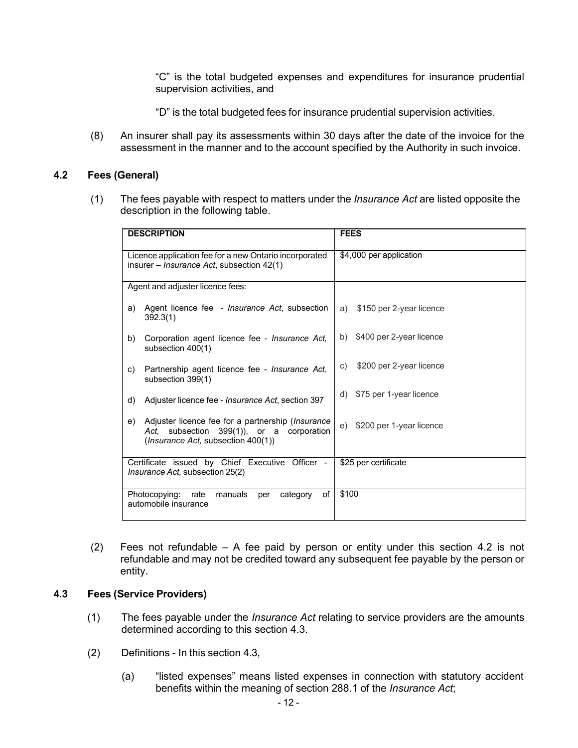"C" is the total budgeted expenses and expenditures for insurance prudential supervision activities, and

"D" is the total budgeted fees for insurance prudential supervision activities.

(8) An insurer shall pay its assessments within 30 days after the date of the invoice for the assessment in the manner and to the account specified by the Authority in such invoice.

#### <span id="page-11-2"></span><span id="page-11-0"></span>**4.2 Fees (General)**

(1) The fees payable with respect to matters under the *Insurance Act* are listed opposite the description in the following table.

|    | <b>DESCRIPTION</b>                                                                                                                               | <b>FEES</b>                    |
|----|--------------------------------------------------------------------------------------------------------------------------------------------------|--------------------------------|
|    | Licence application fee for a new Ontario incorporated<br>insurer $-$ <i>Insurance Act</i> , subsection 42(1)                                    | \$4,000 per application        |
|    |                                                                                                                                                  |                                |
|    | Agent and adjuster licence fees:                                                                                                                 |                                |
| a) | Agent licence fee - <i>Insurance Act</i> , subsection<br>392.3(1)                                                                                | \$150 per 2-year licence<br>a) |
| b) | Corporation agent licence fee - <i>Insurance Act</i> .<br>subsection 400(1)                                                                      | \$400 per 2-year licence<br>b) |
| c) | Partnership agent licence fee - <i>Insurance Act</i> ,<br>subsection 399(1)                                                                      | \$200 per 2-year licence<br>C) |
| d) | Adjuster licence fee - <i>Insurance Act</i> , section 397                                                                                        | \$75 per 1-year licence<br>d)  |
| e) | Adjuster licence fee for a partnership (Insurance<br>subsection 399(1)), or a corporation<br>Act.<br>( <i>Insurance Act, subsection 400(1)</i> ) | \$200 per 1-year licence<br>e) |
|    | Certificate issued by Chief Executive Officer -<br><i>Insurance Act, subsection 25(2)</i>                                                        | \$25 per certificate           |
|    | of<br>Photocopying:<br>manuals<br>rate<br>category<br>per<br>automobile insurance                                                                | \$100                          |

(2) Fees not refundable – A fee paid by person or entity under this section [4.2](#page-11-0) is not refundable and may not be credited toward any subsequent fee payable by the person or entity.

#### <span id="page-11-1"></span>**4.3 Fees (Service Providers)**

- (1) The fees payable under the *Insurance Act* relating to service providers are the amounts determined according to this section [4.3.](#page-11-1)
- (2) Definitions In this section [4.3,](#page-11-1)
	- (a) "listed expenses" means listed expenses in connection with statutory accident benefits within the meaning of section 288.1 of the *Insurance Act*;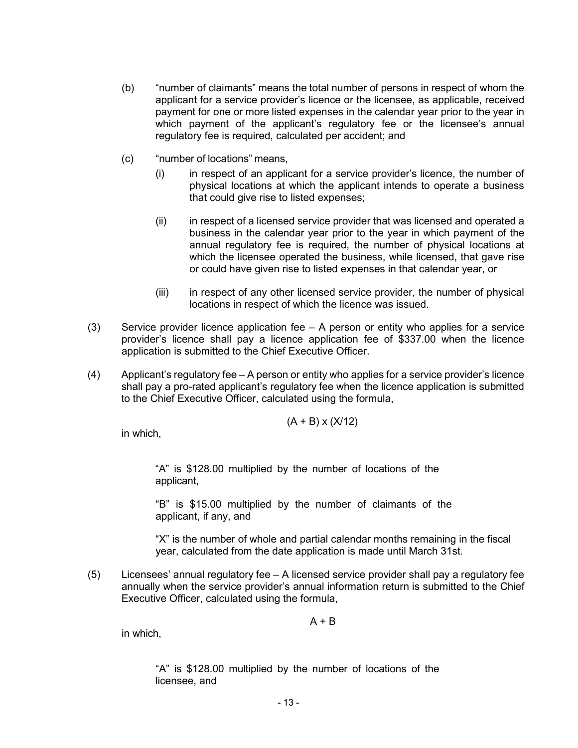- (b) "number of claimants" means the total number of persons in respect of whom the applicant for a service provider's licence or the licensee, as applicable, received payment for one or more listed expenses in the calendar year prior to the year in which payment of the applicant's regulatory fee or the licensee's annual regulatory fee is required, calculated per accident; and
- (c) "number of locations" means,
	- (i) in respect of an applicant for a service provider's licence, the number of physical locations at which the applicant intends to operate a business that could give rise to listed expenses;
	- (ii) in respect of a licensed service provider that was licensed and operated a business in the calendar year prior to the year in which payment of the annual regulatory fee is required, the number of physical locations at which the licensee operated the business, while licensed, that gave rise or could have given rise to listed expenses in that calendar year, or
	- (iii) in respect of any other licensed service provider, the number of physical locations in respect of which the licence was issued.
- (3) Service provider licence application fee A person or entity who applies for a service provider's licence shall pay a licence application fee of \$337.00 when the licence application is submitted to the Chief Executive Officer.
- (4) Applicant's regulatory fee A person or entity who applies for a service provider's licence shall pay a pro-rated applicant's regulatory fee when the licence application is submitted to the Chief Executive Officer, calculated using the formula,

$$
(A + B) \times (X/12)
$$

in which,

"A" is \$128.00 multiplied by the number of locations of the applicant,

"B" is \$15.00 multiplied by the number of claimants of the applicant, if any, and

"X" is the number of whole and partial calendar months remaining in the fiscal year, calculated from the date application is made until March 31st.

(5) Licensees' annual regulatory fee – A licensed service provider shall pay a regulatory fee annually when the service provider's annual information return is submitted to the Chief Executive Officer, calculated using the formula,

 $A + B$ 

in which,

"A" is \$128.00 multiplied by the number of locations of the licensee, and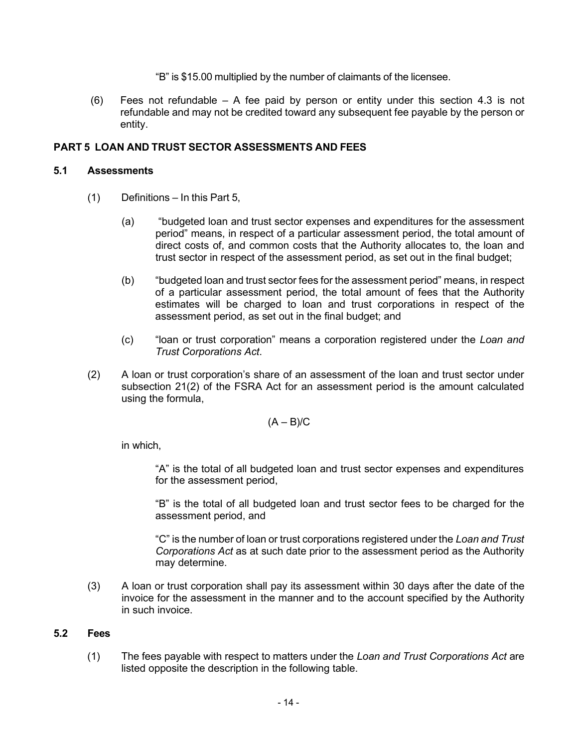"B" is \$15.00 multiplied by the number of claimants of the licensee.

(6) Fees not refundable – A fee paid by person or entity under this section [4.3](#page-11-1) is not refundable and may not be credited toward any subsequent fee payable by the person or entity.

## <span id="page-13-0"></span>**PART 5 LOAN AND TRUST SECTOR ASSESSMENTS AND FEES**

#### <span id="page-13-1"></span>**5.1 Assessments**

- (1) Definitions In this [Part](#page-13-0) 5,
	- (a) "budgeted loan and trust sector expenses and expenditures for the assessment period" means, in respect of a particular assessment period, the total amount of direct costs of, and common costs that the Authority allocates to, the loan and trust sector in respect of the assessment period, as set out in the final budget;
	- (b) "budgeted loan and trust sector fees for the assessment period" means, in respect of a particular assessment period, the total amount of fees that the Authority estimates will be charged to loan and trust corporations in respect of the assessment period, as set out in the final budget; and
	- (c) "loan or trust corporation" means a corporation registered under the *Loan and Trust Corporations Act*.
- (2) A loan or trust corporation's share of an assessment of the loan and trust sector under subsection 21(2) of the FSRA Act for an assessment period is the amount calculated using the formula,

$$
(A - B)/C
$$

in which,

"A" is the total of all budgeted loan and trust sector expenses and expenditures for the assessment period,

"B" is the total of all budgeted loan and trust sector fees to be charged for the assessment period, and

"C" is the number of loan or trust corporations registered under the *Loan and Trust Corporations Act* as at such date prior to the assessment period as the Authority may determine.

(3) A loan or trust corporation shall pay its assessment within 30 days after the date of the invoice for the assessment in the manner and to the account specified by the Authority in such invoice.

## <span id="page-13-3"></span><span id="page-13-2"></span>**5.2 Fees**

(1) The fees payable with respect to matters under the *Loan and Trust Corporations Act* are listed opposite the description in the following table.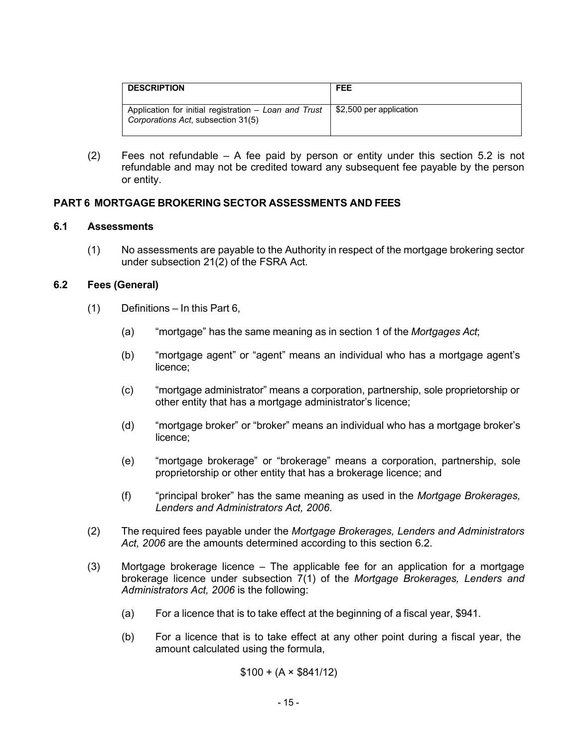| <b>DESCRIPTION</b>                                                                          | <b>FEE</b>              |
|---------------------------------------------------------------------------------------------|-------------------------|
| Application for initial registration – Loan and Trust<br>Corporations Act, subsection 31(5) | \$2,500 per application |

(2) Fees not refundable – A fee paid by person or entity under this section [5.2](#page-13-2) is not refundable and may not be credited toward any subsequent fee payable by the person or entity.

#### <span id="page-14-0"></span>**PART 6 MORTGAGE BROKERING SECTOR ASSESSMENTS AND FEES**

#### <span id="page-14-1"></span>**6.1 Assessments**

(1) No assessments are payable to the Authority in respect of the mortgage brokering sector under subsection 21(2) of the FSRA Act.

#### <span id="page-14-3"></span><span id="page-14-2"></span>**6.2 Fees (General)**

- $(1)$  Definitions In this [Part](#page-14-0) 6,
	- (a) "mortgage" has the same meaning as in section 1 of the *Mortgages Act*;
	- (b) "mortgage agent" or "agent" means an individual who has a mortgage agent's licence;
	- (c) "mortgage administrator" means a corporation, partnership, sole proprietorship or other entity that has a mortgage administrator's licence;
	- (d) "mortgage broker" or "broker" means an individual who has a mortgage broker's licence;
	- (e) "mortgage brokerage" or "brokerage" means a corporation, partnership, sole proprietorship or other entity that has a brokerage licence; and
	- (f) "principal broker" has the same meaning as used in the *Mortgage Brokerages, Lenders and Administrators Act, 2006*.
- (2) The required fees payable under the *Mortgage Brokerages, Lenders and Administrators Act, 2006* are the amounts determined according to this section [6.2.](#page-14-2)
- (3) Mortgage brokerage licence The applicable fee for an application for a mortgage brokerage licence under subsection 7(1) of the *Mortgage Brokerages, Lenders and Administrators Act, 2006* is the following:
	- (a) For a licence that is to take effect at the beginning of a fiscal year, \$941.
	- (b) For a licence that is to take effect at any other point during a fiscal year, the amount calculated using the formula,

$$
$100 + (A \times $841/12)
$$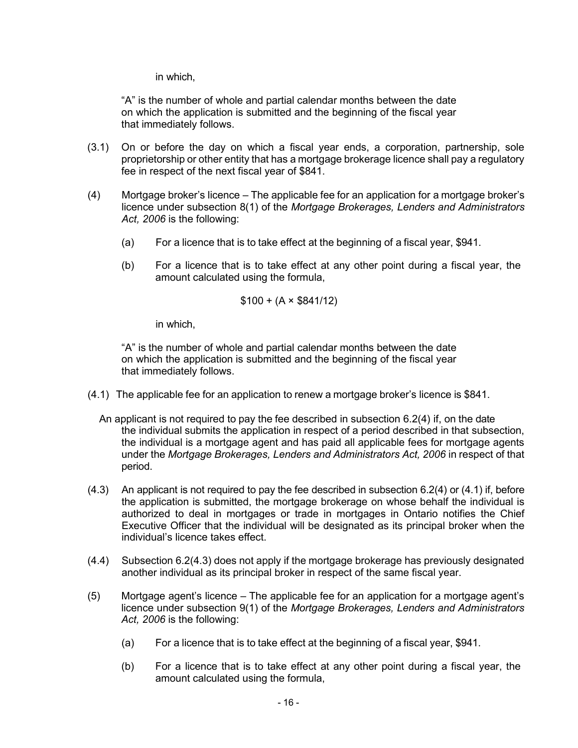in which,

"A" is the number of whole and partial calendar months between the date on which the application is submitted and the beginning of the fiscal year that immediately follows.

- (3.1) On or before the day on which a fiscal year ends, a corporation, partnership, sole proprietorship or other entity that has a mortgage brokerage licence shall pay a regulatory fee in respect of the next fiscal year of \$841.
- <span id="page-15-0"></span>(4) Mortgage broker's licence – The applicable fee for an application for a mortgage broker's licence under subsection 8(1) of the *Mortgage Brokerages, Lenders and Administrators Act, 2006* is the following:
	- (a) For a licence that is to take effect at the beginning of a fiscal year, \$941.
	- (b) For a licence that is to take effect at any other point during a fiscal year, the amount calculated using the formula,

$$
$100 + (A \times $841/12)
$$

in which,

"A" is the number of whole and partial calendar months between the date on which the application is submitted and the beginning of the fiscal year that immediately follows.

- (4.1) The applicable fee for an application to renew a mortgage broker's licence is \$841.
	- An applicant is not required to pay the fee described in subsection [6.2\(4\)](#page-15-0) if, on the date the individual submits the application in respect of a period described in that subsection, the individual is a mortgage agent and has paid all applicable fees for mortgage agents under the *Mortgage Brokerages, Lenders and Administrators Act, 2006* in respect of that period.
- (4.3) An applicant is not required to pay the fee described in subsection [6.2\(4\)](#page-15-0) or (4.1) if, before the application is submitted, the mortgage brokerage on whose behalf the individual is authorized to deal in mortgages or trade in mortgages in Ontario notifies the Chief Executive Officer that the individual will be designated as its principal broker when the individual's licence takes effect.
- (4.4) Subsection 6.2(4.3) does not apply if the mortgage brokerage has previously designated another individual as its principal broker in respect of the same fiscal year.
- (5) Mortgage agent's licence The applicable fee for an application for a mortgage agent's licence under subsection 9(1) of the *Mortgage Brokerages, Lenders and Administrators Act, 2006* is the following:
	- (a) For a licence that is to take effect at the beginning of a fiscal year, \$941.
	- (b) For a licence that is to take effect at any other point during a fiscal year, the amount calculated using the formula,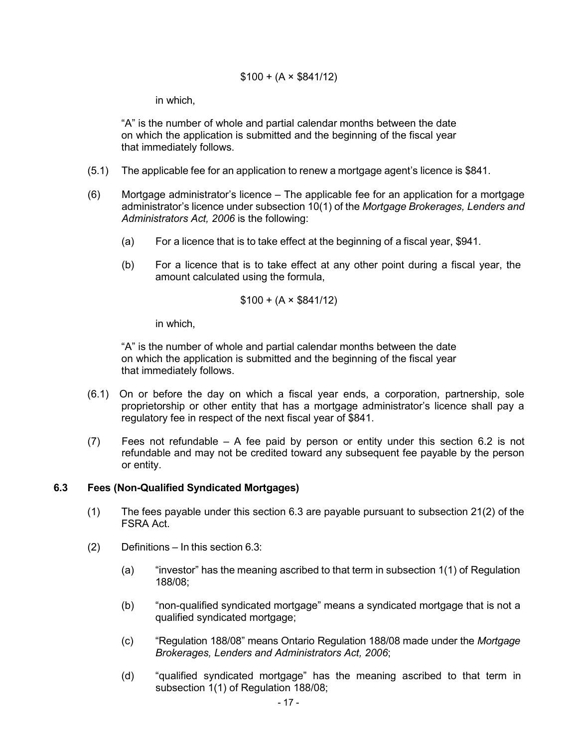#### $$100 + (A \times $841/12)$

in which,

"A" is the number of whole and partial calendar months between the date on which the application is submitted and the beginning of the fiscal year that immediately follows.

- (5.1) The applicable fee for an application to renew a mortgage agent's licence is \$841.
- (6) Mortgage administrator's licence The applicable fee for an application for a mortgage administrator's licence under subsection 10(1) of the *Mortgage Brokerages, Lenders and Administrators Act, 2006* is the following:
	- (a) For a licence that is to take effect at the beginning of a fiscal year, \$941.
	- (b) For a licence that is to take effect at any other point during a fiscal year, the amount calculated using the formula,

$$
$100 + (A \times $841/12)
$$

in which,

"A" is the number of whole and partial calendar months between the date on which the application is submitted and the beginning of the fiscal year that immediately follows.

- (6.1) On or before the day on which a fiscal year ends, a corporation, partnership, sole proprietorship or other entity that has a mortgage administrator's licence shall pay a regulatory fee in respect of the next fiscal year of \$841.
- (7) Fees not refundable A fee paid by person or entity under this section [6.2](#page-14-2) is not refundable and may not be credited toward any subsequent fee payable by the person or entity.

#### <span id="page-16-0"></span>**6.3 Fees (Non-Qualified Syndicated Mortgages)**

- (1) The fees payable under this section 6.3 are payable pursuant to subsection 21(2) of the FSRA Act.
- (2) Definitions In this section [6.3:](#page-16-0)
	- (a) "investor" has the meaning ascribed to that term in subsection 1(1) of Regulation 188/08;
	- (b) "non-qualified syndicated mortgage" means a syndicated mortgage that is not a qualified syndicated mortgage;
	- (c) "Regulation 188/08" means Ontario Regulation 188/08 made under the *Mortgage Brokerages, Lenders and Administrators Act, 2006*;
	- (d) "qualified syndicated mortgage" has the meaning ascribed to that term in subsection 1(1) of Regulation 188/08;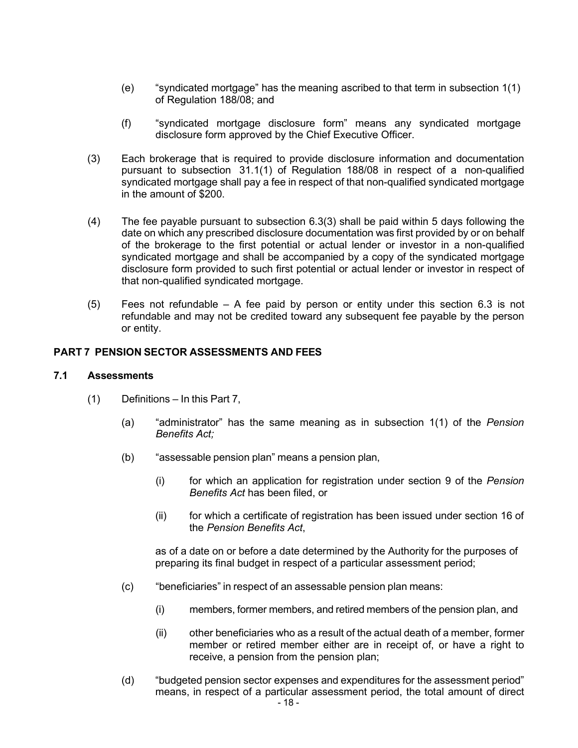- (e) "syndicated mortgage" has the meaning ascribed to that term in subsection 1(1) of Regulation 188/08; and
- (f) "syndicated mortgage disclosure form" means any syndicated mortgage disclosure form approved by the Chief Executive Officer.
- <span id="page-17-2"></span>(3) Each brokerage that is required to provide disclosure information and documentation pursuant to subsection 31.1(1) of Regulation 188/08 in respect of a non-qualified syndicated mortgage shall pay a fee in respect of that non-qualified syndicated mortgage in the amount of \$200.
- (4) The fee payable pursuant to subsection [6.3\(3\) s](#page-17-2)hall be paid within 5 days following the date on which any prescribed disclosure documentation was first provided by or on behalf of the brokerage to the first potential or actual lender or investor in a non-qualified syndicated mortgage and shall be accompanied by a copy of the syndicated mortgage disclosure form provided to such first potential or actual lender or investor in respect of that non-qualified syndicated mortgage.
- (5) Fees not refundable A fee paid by person or entity under this section [6.3](#page-16-0) is not refundable and may not be credited toward any subsequent fee payable by the person or entity.

## <span id="page-17-0"></span>**PART 7 PENSION SECTOR ASSESSMENTS AND FEES**

#### <span id="page-17-1"></span>**7.1 Assessments**

- (1) Definitions In this [Part](#page-17-0) 7,
	- (a) "administrator" has the same meaning as in subsection 1(1) of the *Pension Benefits Act;*
	- (b) "assessable pension plan" means a pension plan,
		- (i) for which an application for registration under section 9 of the *Pension Benefits Act* has been filed, or
		- (ii) for which a certificate of registration has been issued under section 16 of the *Pension Benefits Act*,

as of a date on or before a date determined by the Authority for the purposes of preparing its final budget in respect of a particular assessment period;

- (c) "beneficiaries" in respect of an assessable pension plan means:
	- (i) members, former members, and retired members of the pension plan, and
	- (ii) other beneficiaries who as a result of the actual death of a member, former member or retired member either are in receipt of, or have a right to receive, a pension from the pension plan;
- (d) "budgeted pension sector expenses and expenditures for the assessment period" means, in respect of a particular assessment period, the total amount of direct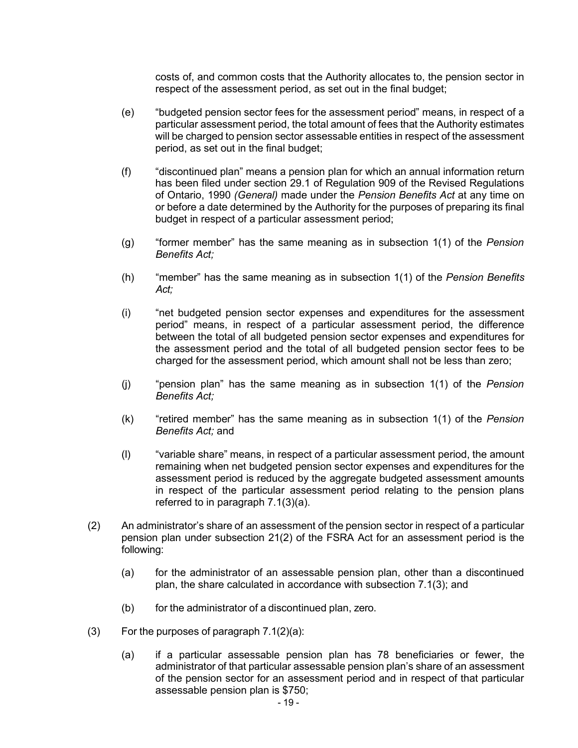costs of, and common costs that the Authority allocates to, the pension sector in respect of the assessment period, as set out in the final budget;

- (e) "budgeted pension sector fees for the assessment period" means, in respect of a particular assessment period, the total amount of fees that the Authority estimates will be charged to pension sector assessable entities in respect of the assessment period, as set out in the final budget;
- (f) "discontinued plan" means a pension plan for which an annual information return has been filed under section 29.1 of Regulation 909 of the Revised Regulations of Ontario, 1990 *(General)* made under the *Pension Benefits Act* at any time on or before a date determined by the Authority for the purposes of preparing its final budget in respect of a particular assessment period;
- (g) "former member" has the same meaning as in subsection 1(1) of the *Pension Benefits Act;*
- (h) "member" has the same meaning as in subsection 1(1) of the *Pension Benefits Act;*
- (i) "net budgeted pension sector expenses and expenditures for the assessment period" means, in respect of a particular assessment period, the difference between the total of all budgeted pension sector expenses and expenditures for the assessment period and the total of all budgeted pension sector fees to be charged for the assessment period, which amount shall not be less than zero;
- (j) "pension plan" has the same meaning as in subsection 1(1) of the *Pension Benefits Act;*
- (k) "retired member" has the same meaning as in subsection 1(1) of the *Pension Benefits Act;* and
- (l) "variable share" means, in respect of a particular assessment period, the amount remaining when net budgeted pension sector expenses and expenditures for the assessment period is reduced by the aggregate budgeted assessment amounts in respect of the particular assessment period relating to the pension plans referred to in paragraph [7.1\(3\)\(a\).](#page-18-0)
- <span id="page-18-2"></span>(2) An administrator's share of an assessment of the pension sector in respect of a particular pension plan under subsection 21(2) of the FSRA Act for an assessment period is the following:
	- (a) for the administrator of an assessable pension plan, other than a discontinued plan, the share calculated in accordance with subsection [7.1\(3\);](#page-18-1) and
	- (b) for the administrator of a discontinued plan, zero.
- <span id="page-18-1"></span><span id="page-18-0"></span>(3) For the purposes of paragraph  $7.1(2)(a)$ :
	- (a) if a particular assessable pension plan has 78 beneficiaries or fewer, the administrator of that particular assessable pension plan's share of an assessment of the pension sector for an assessment period and in respect of that particular assessable pension plan is \$750;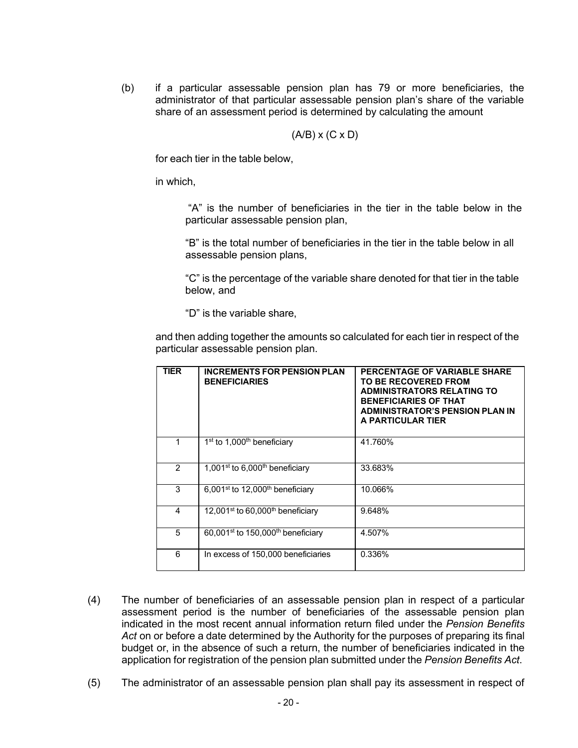(b) if a particular assessable pension plan has 79 or more beneficiaries, the administrator of that particular assessable pension plan's share of the variable share of an assessment period is determined by calculating the amount

$$
(A/B) \times (C \times D)
$$

for each tier in the table below,

in which,

"A" is the number of beneficiaries in the tier in the table below in the particular assessable pension plan,

"B" is the total number of beneficiaries in the tier in the table below in all assessable pension plans,

"C" is the percentage of the variable share denoted for that tier in the table below, and

"D" is the variable share,

and then adding together the amounts so calculated for each tier in respect of the particular assessable pension plan.

| <b>TIER</b>   | <b>INCREMENTS FOR PENSION PLAN</b><br><b>BENEFICIARIES</b> | PERCENTAGE OF VARIABLE SHARE<br><b>TO BE RECOVERED FROM</b><br><b>ADMINISTRATORS RELATING TO</b><br><b>BENEFICIARIES OF THAT</b><br><b>ADMINISTRATOR'S PENSION PLAN IN</b><br>A PARTICULAR TIER |
|---------------|------------------------------------------------------------|-------------------------------------------------------------------------------------------------------------------------------------------------------------------------------------------------|
|               | $1st$ to 1,000 <sup>th</sup> beneficiary                   | 41.760%                                                                                                                                                                                         |
| $\mathcal{P}$ | 1,001 <sup>st</sup> to 6,000 <sup>th</sup> beneficiary     | 33.683%                                                                                                                                                                                         |
| 3             | 6,001 <sup>st</sup> to 12,000 <sup>th</sup> beneficiary    | 10.066%                                                                                                                                                                                         |
| 4             | 12,001 <sup>st</sup> to 60,000 <sup>th</sup> beneficiary   | 9.648%                                                                                                                                                                                          |
| 5             | 60,001 <sup>st</sup> to 150,000 <sup>th</sup> beneficiary  | 4.507%                                                                                                                                                                                          |
| 6             | In excess of 150,000 beneficiaries                         | 0.336%                                                                                                                                                                                          |

- (4) The number of beneficiaries of an assessable pension plan in respect of a particular assessment period is the number of beneficiaries of the assessable pension plan indicated in the most recent annual information return filed under the *Pension Benefits Act* on or before a date determined by the Authority for the purposes of preparing its final budget or, in the absence of such a return, the number of beneficiaries indicated in the application for registration of the pension plan submitted under the *Pension Benefits Act*.
- (5) The administrator of an assessable pension plan shall pay its assessment in respect of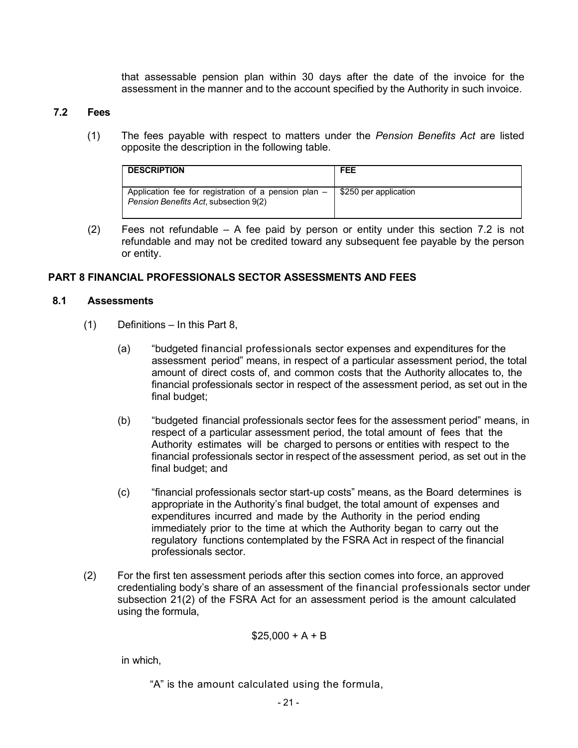that assessable pension plan within 30 days after the date of the invoice for the assessment in the manner and to the account specified by the Authority in such invoice.

#### <span id="page-20-1"></span><span id="page-20-0"></span>**7.2 Fees**

(1) The fees payable with respect to matters under the *Pension Benefits Act* are listed opposite the description in the following table.

| <b>DESCRIPTION</b>                                                                            | <b>FEE</b>            |
|-----------------------------------------------------------------------------------------------|-----------------------|
| Application fee for registration of a pension plan –<br>Pension Benefits Act, subsection 9(2) | \$250 per application |

(2) Fees not refundable – A fee paid by person or entity under this section [7.2](#page-20-0) is not refundable and may not be credited toward any subsequent fee payable by the person or entity.

#### **PART 8 FINANCIAL PROFESSIONALS SECTOR ASSESSMENTS AND FEES**

#### **8.1 Assessments**

- (1) Definitions In this [Part 8](#page-13-0),
	- (a) "budgeted financial professionals sector expenses and expenditures for the assessment period" means, in respect of a particular assessment period, the total amount of direct costs of, and common costs that the Authority allocates to, the financial professionals sector in respect of the assessment period, as set out in the final budget;
	- (b) "budgeted financial professionals sector fees for the assessment period" means, in respect of a particular assessment period, the total amount of fees that the Authority estimates will be charged to persons or entities with respect to the financial professionals sector in respect of the assessment period, as set out in the final budget; and
	- (c) "financial professionals sector start-up costs" means, as the Board determines is appropriate in the Authority's final budget, the total amount of expenses and expenditures incurred and made by the Authority in the period ending immediately prior to the time at which the Authority began to carry out the regulatory functions contemplated by the FSRA Act in respect of the financial professionals sector.
- (2) For the first ten assessment periods after this section comes into force, an approved credentialing body's share of an assessment of the financial professionals sector under subsection 21(2) of the FSRA Act for an assessment period is the amount calculated using the formula,

$$
$25,000 + A + B
$$

in which,

"A" is the amount calculated using the formula,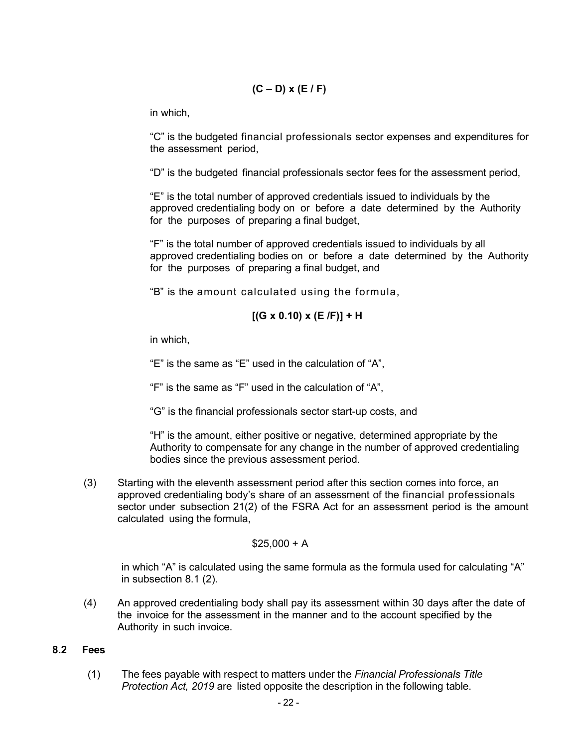$$
(C - D) \times (E / F)
$$

in which,

"C" is the budgeted financial professionals sector expenses and expenditures for the assessment period,

"D" is the budgeted financial professionals sector fees for the assessment period,

"E" is the total number of approved credentials issued to individuals by the approved credentialing body on or before a date determined by the Authority for the purposes of preparing a final budget,

"F" is the total number of approved credentials issued to individuals by all approved credentialing bodies on or before a date determined by the Authority for the purposes of preparing a final budget, and

"B" is the amount calculated using the formula,

$$
[(G \times 0.10) \times (E / F)] + H
$$

in which,

"E" is the same as "E" used in the calculation of "A",

"F" is the same as "F" used in the calculation of "A",

"G" is the financial professionals sector start-up costs, and

"H" is the amount, either positive or negative, determined appropriate by the Authority to compensate for any change in the number of approved credentialing bodies since the previous assessment period.

(3) Starting with the eleventh assessment period after this section comes into force, an approved credentialing body's share of an assessment of the financial professionals sector under subsection 21(2) of the FSRA Act for an assessment period is the amount calculated using the formula,

#### $$25.000 + A$

in which "A" is calculated using the same formula as the formula used for calculating "A" in subsection 8.1 (2).

(4) An approved credentialing body shall pay its assessment within 30 days after the date of the invoice for the assessment in the manner and to the account specified by the Authority in such invoice.

## **8.2 Fees**

(1) The fees payable with respect to matters under the *Financial Professionals Title Protection Act, 2019* are listed opposite the description in the following table.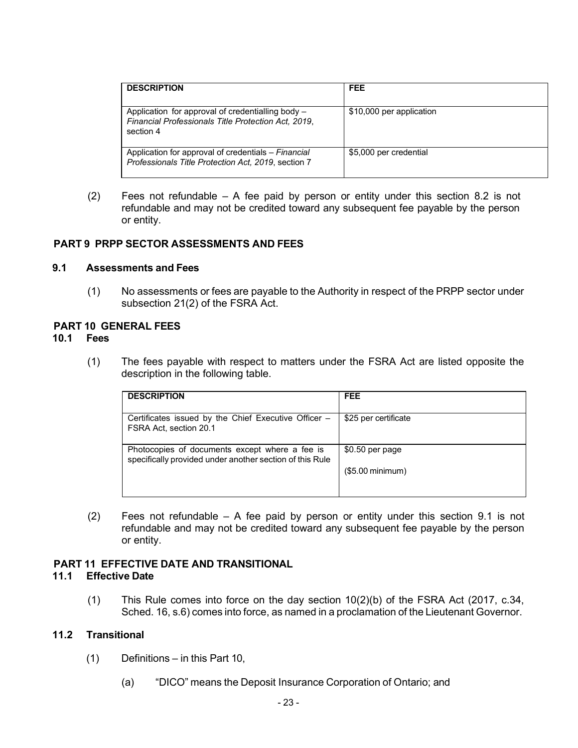| <b>DESCRIPTION</b>                                                                                                    | <b>FEE</b>               |
|-----------------------------------------------------------------------------------------------------------------------|--------------------------|
| Application for approval of credentialling body -<br>Financial Professionals Title Protection Act, 2019,<br>section 4 | \$10,000 per application |
| Application for approval of credentials – Financial<br>Professionals Title Protection Act, 2019, section 7            | \$5,000 per credential   |

<span id="page-22-1"></span> $(2)$  Fees not refundable – A fee paid by person or entity under this section [8.2](#page-13-2) is not refundable and may not be credited toward any subsequent fee payable by the person or entity.

## <span id="page-22-0"></span>**PART 9 PRPP SECTOR ASSESSMENTS AND FEES**

#### **9.1 Assessments and Fees**

<span id="page-22-2"></span>(1) No assessments or fees are payable to the Authority in respect of the PRPP sector under subsection 21(2) of the FSRA Act.

# **PART 10 GENERAL FEES**

#### <span id="page-22-7"></span>**10.1 Fees**

(1) The fees payable with respect to matters under the FSRA Act are listed opposite the description in the following table.

<span id="page-22-3"></span>

| <b>DESCRIPTION</b>                                                                                         | <b>FEE</b>           |
|------------------------------------------------------------------------------------------------------------|----------------------|
| Certificates issued by the Chief Executive Officer –<br>FSRA Act, section 20.1                             | \$25 per certificate |
| Photocopies of documents except where a fee is<br>specifically provided under another section of this Rule | $$0.50$ per page     |
|                                                                                                            | $($5.00$ minimum)    |

(2) Fees not refundable – A fee paid by person or entity under this section [9.1](#page-22-3) is not refundable and may not be credited toward any subsequent fee payable by the person or entity.

## **PART 11 EFFECTIVE DATE AND TRANSITIONAL**

#### <span id="page-22-5"></span>**11.1 Effective Date**

<span id="page-22-4"></span>(1) This Rule comes into force on the day section  $10(2)(b)$  of the FSRA Act (2017, c.34, Sched. 16, s.6) comes into force, as named in a proclamation of the Lieutenant Governor.

## <span id="page-22-6"></span>**11.2 Transitional**

- (1) Definitions in this Part 10,
	- (a) "DICO" means the Deposit Insurance Corporation of Ontario; and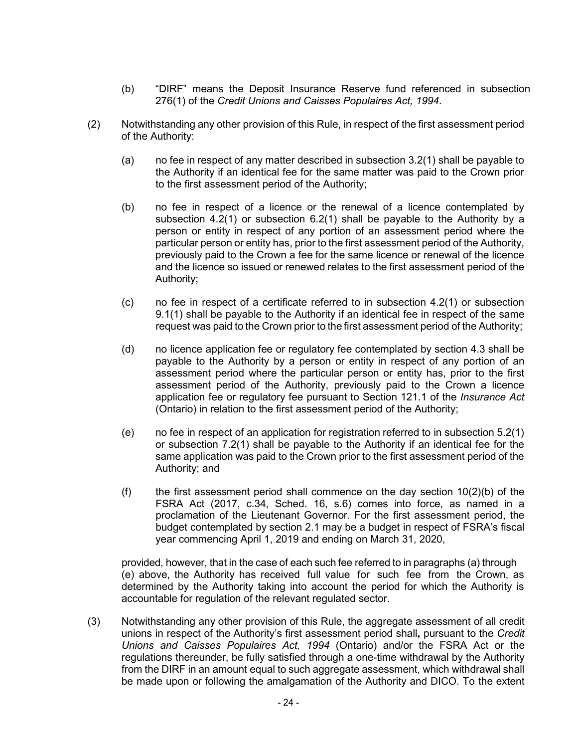- (b) "DIRF" means the Deposit Insurance Reserve fund referenced in subsection 276(1) of the *Credit Unions and Caisses Populaires Act, 1994*.
- (2) Notwithstanding any other provision of this Rule, in respect of the first assessment period of the Authority:
	- (a) no fee in respect of any matter described in subsection [3.2\(1\)](#page-5-1) shall be payable to the Authority if an identical fee for the same matter was paid to the Crown prior to the first assessment period of the Authority;
	- (b) no fee in respect of a licence or the renewal of a licence contemplated by subsection [4.2\(1\)](#page-11-2) or subsection [6.2\(1\)](#page-14-3) shall be payable to the Authority by a person or entity in respect of any portion of an assessment period where the particular person or entity has, prior to the first assessment period of the Authority, previously paid to the Crown a fee for the same licence or renewal of the licence and the licence so issued or renewed relates to the first assessment period of the Authority;
	- (c) no fee in respect of a certificate referred to in subsection [4.2\(1\) o](#page-11-2)r subsection [9.1\(1\) s](#page-22-7)hall be payable to the Authority if an identical fee in respect of the same request was paid to the Crown prior to the first assessment period of the Authority;
	- (d) no licence application fee or regulatory fee contemplated by section 4.3 shall be payable to the Authority by a person or entity in respect of any portion of an assessment period where the particular person or entity has, prior to the first assessment period of the Authority, previously paid to the Crown a licence application fee or regulatory fee pursuant to Section 121.1 of the *Insurance Act*  (Ontario) in relation to the first assessment period of the Authority;
	- (e) no fee in respect of an application for registration referred to in subsection [5.2\(1\)](#page-13-3) or subsection [7.2\(1\) s](#page-20-1)hall be payable to the Authority if an identical fee for the same application was paid to the Crown prior to the first assessment period of the Authority; and
	- (f) the first assessment period shall commence on the day section  $10(2)(b)$  of the FSRA Act (2017, c.34, Sched. 16, s.6) comes into force, as named in a proclamation of the Lieutenant Governor. For the first assessment period, the budget contemplated by section 2.1 may be a budget in respect of FSRA's fiscal year commencing April 1, 2019 and ending on March 31, 2020,

provided, however, that in the case of each such fee referred to in paragraphs (a) through (e) above, the Authority has received full value for such fee from the Crown, as determined by the Authority taking into account the period for which the Authority is accountable for regulation of the relevant regulated sector.

(3) Notwithstanding any other provision of this Rule, the aggregate assessment of all credit unions in respect of the Authority's first assessment period shall**,** pursuant to the *Credit Unions and Caisses Populaires Act, 1994* (Ontario) and/or the FSRA Act or the regulations thereunder, be fully satisfied through a one-time withdrawal by the Authority from the DIRF in an amount equal to such aggregate assessment, which withdrawal shall be made upon or following the amalgamation of the Authority and DICO. To the extent